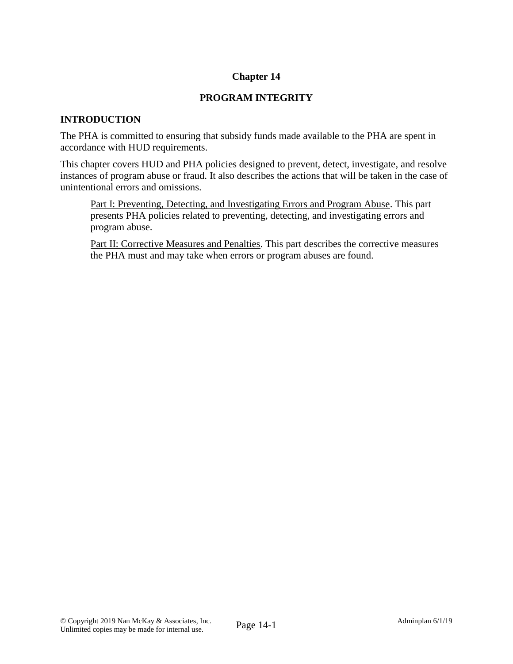# **Chapter 14**

# **PROGRAM INTEGRITY**

# **INTRODUCTION**

The PHA is committed to ensuring that subsidy funds made available to the PHA are spent in accordance with HUD requirements.

This chapter covers HUD and PHA policies designed to prevent, detect, investigate, and resolve instances of program abuse or fraud. It also describes the actions that will be taken in the case of unintentional errors and omissions.

Part I: Preventing, Detecting, and Investigating Errors and Program Abuse. This part presents PHA policies related to preventing, detecting, and investigating errors and program abuse.

Part II: Corrective Measures and Penalties. This part describes the corrective measures the PHA must and may take when errors or program abuses are found.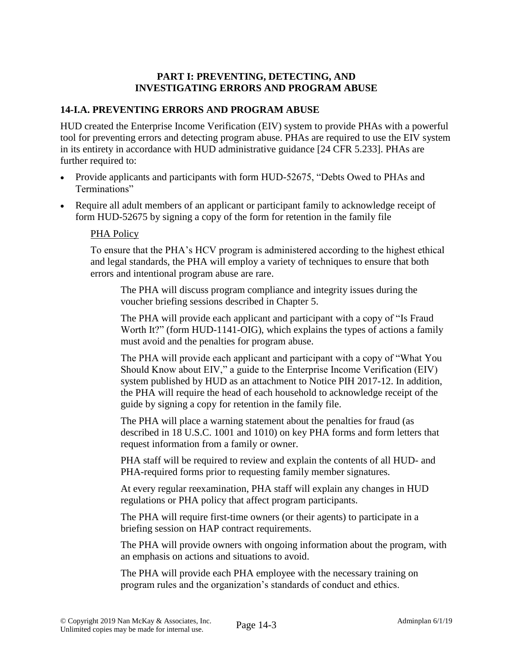## **PART I: PREVENTING, DETECTING, AND INVESTIGATING ERRORS AND PROGRAM ABUSE**

# **14-I.A. PREVENTING ERRORS AND PROGRAM ABUSE**

HUD created the Enterprise Income Verification (EIV) system to provide PHAs with a powerful tool for preventing errors and detecting program abuse. PHAs are required to use the EIV system in its entirety in accordance with HUD administrative guidance [24 CFR 5.233]. PHAs are further required to:

- Provide applicants and participants with form HUD-52675, "Debts Owed to PHAs and Terminations"
- Require all adult members of an applicant or participant family to acknowledge receipt of form HUD-52675 by signing a copy of the form for retention in the family file

#### PHA Policy

To ensure that the PHA's HCV program is administered according to the highest ethical and legal standards, the PHA will employ a variety of techniques to ensure that both errors and intentional program abuse are rare.

The PHA will discuss program compliance and integrity issues during the voucher briefing sessions described in Chapter 5.

The PHA will provide each applicant and participant with a copy of "Is Fraud Worth It?" (form HUD-1141-OIG), which explains the types of actions a family must avoid and the penalties for program abuse.

The PHA will provide each applicant and participant with a copy of "What You Should Know about EIV," a guide to the Enterprise Income Verification (EIV) system published by HUD as an attachment to Notice PIH 2017-12. In addition, the PHA will require the head of each household to acknowledge receipt of the guide by signing a copy for retention in the family file.

The PHA will place a warning statement about the penalties for fraud (as described in 18 U.S.C. 1001 and 1010) on key PHA forms and form letters that request information from a family or owner.

PHA staff will be required to review and explain the contents of all HUD- and PHA-required forms prior to requesting family member signatures.

At every regular reexamination, PHA staff will explain any changes in HUD regulations or PHA policy that affect program participants.

The PHA will require first-time owners (or their agents) to participate in a briefing session on HAP contract requirements.

The PHA will provide owners with ongoing information about the program, with an emphasis on actions and situations to avoid.

The PHA will provide each PHA employee with the necessary training on program rules and the organization's standards of conduct and ethics.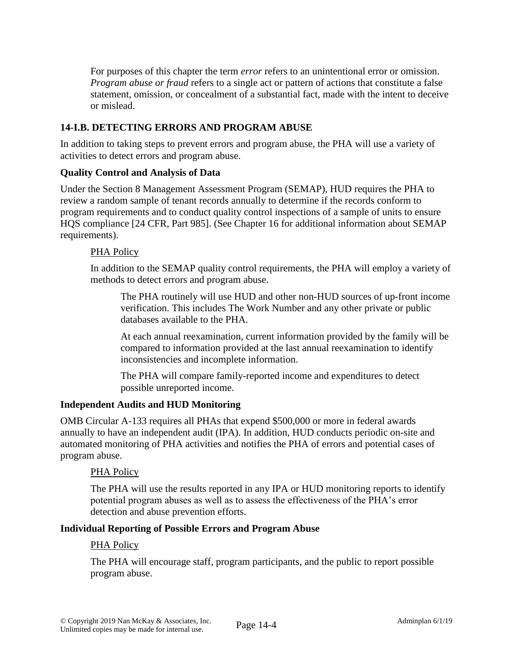For purposes of this chapter the term *error* refers to an unintentional error or omission. *Program abuse or fraud* refers to a single act or pattern of actions that constitute a false statement, omission, or concealment of a substantial fact, made with the intent to deceive or mislead.

# **14-I.B. DETECTING ERRORS AND PROGRAM ABUSE**

In addition to taking steps to prevent errors and program abuse, the PHA will use a variety of activities to detect errors and program abuse.

### **Quality Control and Analysis of Data**

Under the Section 8 Management Assessment Program (SEMAP), HUD requires the PHA to review a random sample of tenant records annually to determine if the records conform to program requirements and to conduct quality control inspections of a sample of units to ensure HQS compliance [24 CFR, Part 985]. (See Chapter 16 for additional information about SEMAP requirements).

### PHA Policy

In addition to the SEMAP quality control requirements, the PHA will employ a variety of methods to detect errors and program abuse.

The PHA routinely will use HUD and other non-HUD sources of up-front income verification. This includes The Work Number and any other private or public databases available to the PHA.

At each annual reexamination, current information provided by the family will be compared to information provided at the last annual reexamination to identify inconsistencies and incomplete information.

The PHA will compare family-reported income and expenditures to detect possible unreported income.

# **Independent Audits and HUD Monitoring**

OMB Circular A-133 requires all PHAs that expend \$500,000 or more in federal awards annually to have an independent audit (IPA). In addition, HUD conducts periodic on-site and automated monitoring of PHA activities and notifies the PHA of errors and potential cases of program abuse.

#### PHA Policy

The PHA will use the results reported in any IPA or HUD monitoring reports to identify potential program abuses as well as to assess the effectiveness of the PHA's error detection and abuse prevention efforts.

#### **Individual Reporting of Possible Errors and Program Abuse**

#### PHA Policy

The PHA will encourage staff, program participants, and the public to report possible program abuse.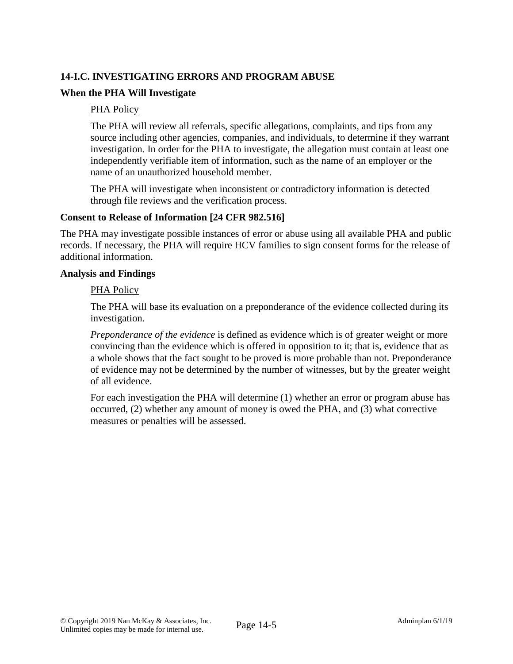# **14-I.C. INVESTIGATING ERRORS AND PROGRAM ABUSE**

## **When the PHA Will Investigate**

#### PHA Policy

The PHA will review all referrals, specific allegations, complaints, and tips from any source including other agencies, companies, and individuals, to determine if they warrant investigation. In order for the PHA to investigate, the allegation must contain at least one independently verifiable item of information, such as the name of an employer or the name of an unauthorized household member.

The PHA will investigate when inconsistent or contradictory information is detected through file reviews and the verification process.

#### **Consent to Release of Information [24 CFR 982.516]**

The PHA may investigate possible instances of error or abuse using all available PHA and public records. If necessary, the PHA will require HCV families to sign consent forms for the release of additional information.

#### **Analysis and Findings**

#### PHA Policy

The PHA will base its evaluation on a preponderance of the evidence collected during its investigation.

*Preponderance of the evidence* is defined as evidence which is of greater weight or more convincing than the evidence which is offered in opposition to it; that is, evidence that as a whole shows that the fact sought to be proved is more probable than not. Preponderance of evidence may not be determined by the number of witnesses, but by the greater weight of all evidence.

For each investigation the PHA will determine (1) whether an error or program abuse has occurred, (2) whether any amount of money is owed the PHA, and (3) what corrective measures or penalties will be assessed.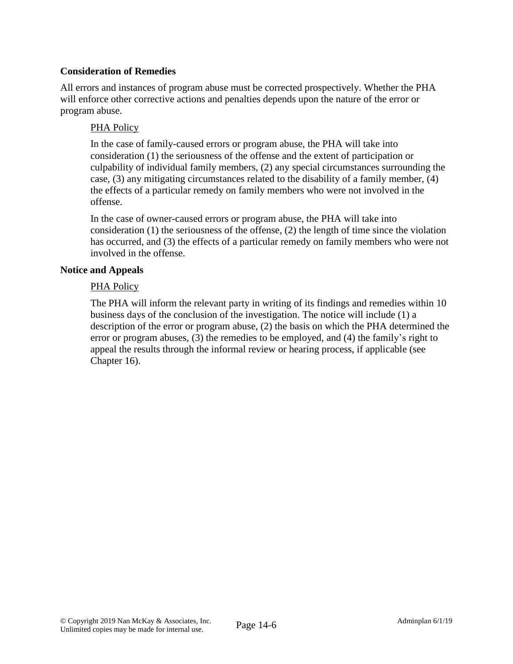## **Consideration of Remedies**

All errors and instances of program abuse must be corrected prospectively. Whether the PHA will enforce other corrective actions and penalties depends upon the nature of the error or program abuse.

### PHA Policy

In the case of family-caused errors or program abuse, the PHA will take into consideration (1) the seriousness of the offense and the extent of participation or culpability of individual family members, (2) any special circumstances surrounding the case, (3) any mitigating circumstances related to the disability of a family member, (4) the effects of a particular remedy on family members who were not involved in the offense.

In the case of owner-caused errors or program abuse, the PHA will take into consideration (1) the seriousness of the offense, (2) the length of time since the violation has occurred, and (3) the effects of a particular remedy on family members who were not involved in the offense.

#### **Notice and Appeals**

### PHA Policy

The PHA will inform the relevant party in writing of its findings and remedies within 10 business days of the conclusion of the investigation. The notice will include (1) a description of the error or program abuse, (2) the basis on which the PHA determined the error or program abuses, (3) the remedies to be employed, and (4) the family's right to appeal the results through the informal review or hearing process, if applicable (see Chapter 16).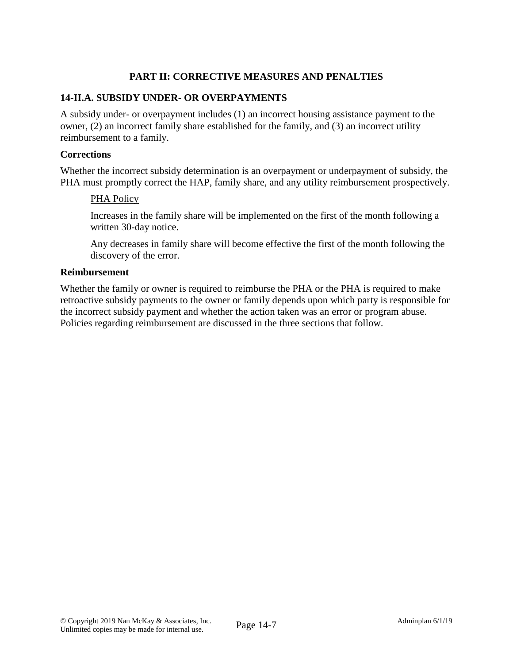# **PART II: CORRECTIVE MEASURES AND PENALTIES**

### **14-II.A. SUBSIDY UNDER- OR OVERPAYMENTS**

A subsidy under- or overpayment includes (1) an incorrect housing assistance payment to the owner, (2) an incorrect family share established for the family, and (3) an incorrect utility reimbursement to a family.

#### **Corrections**

Whether the incorrect subsidy determination is an overpayment or underpayment of subsidy, the PHA must promptly correct the HAP, family share, and any utility reimbursement prospectively.

#### PHA Policy

Increases in the family share will be implemented on the first of the month following a written 30-day notice.

Any decreases in family share will become effective the first of the month following the discovery of the error.

#### **Reimbursement**

Whether the family or owner is required to reimburse the PHA or the PHA is required to make retroactive subsidy payments to the owner or family depends upon which party is responsible for the incorrect subsidy payment and whether the action taken was an error or program abuse. Policies regarding reimbursement are discussed in the three sections that follow.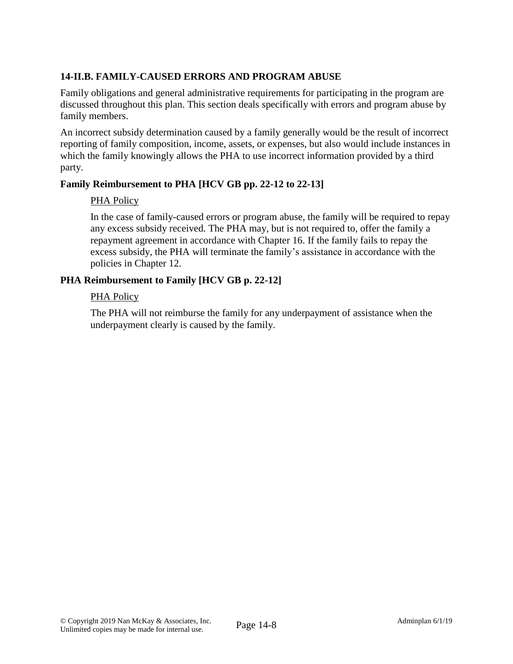# **14-II.B. FAMILY-CAUSED ERRORS AND PROGRAM ABUSE**

Family obligations and general administrative requirements for participating in the program are discussed throughout this plan. This section deals specifically with errors and program abuse by family members.

An incorrect subsidy determination caused by a family generally would be the result of incorrect reporting of family composition, income, assets, or expenses, but also would include instances in which the family knowingly allows the PHA to use incorrect information provided by a third party.

# **Family Reimbursement to PHA [HCV GB pp. 22-12 to 22-13]**

### PHA Policy

In the case of family-caused errors or program abuse, the family will be required to repay any excess subsidy received. The PHA may, but is not required to, offer the family a repayment agreement in accordance with Chapter 16. If the family fails to repay the excess subsidy, the PHA will terminate the family's assistance in accordance with the policies in Chapter 12.

### **PHA Reimbursement to Family [HCV GB p. 22-12]**

#### PHA Policy

The PHA will not reimburse the family for any underpayment of assistance when the underpayment clearly is caused by the family.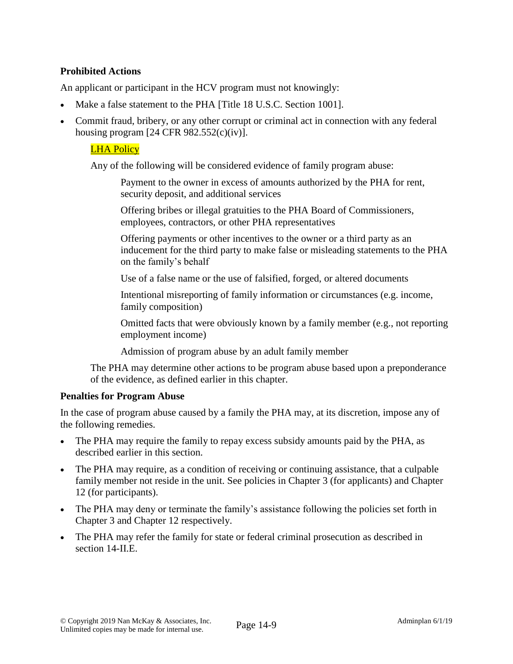# **Prohibited Actions**

An applicant or participant in the HCV program must not knowingly:

- Make a false statement to the PHA [Title 18 U.S.C. Section 1001].
- Commit fraud, bribery, or any other corrupt or criminal act in connection with any federal housing program  $[24 \text{ CFR } 982.552(c)(iv)].$

### LHA Policy

Any of the following will be considered evidence of family program abuse:

Payment to the owner in excess of amounts authorized by the PHA for rent, security deposit, and additional services

Offering bribes or illegal gratuities to the PHA Board of Commissioners, employees, contractors, or other PHA representatives

Offering payments or other incentives to the owner or a third party as an inducement for the third party to make false or misleading statements to the PHA on the family's behalf

Use of a false name or the use of falsified, forged, or altered documents

Intentional misreporting of family information or circumstances (e.g. income, family composition)

Omitted facts that were obviously known by a family member (e.g., not reporting employment income)

Admission of program abuse by an adult family member

The PHA may determine other actions to be program abuse based upon a preponderance of the evidence, as defined earlier in this chapter.

#### **Penalties for Program Abuse**

In the case of program abuse caused by a family the PHA may, at its discretion, impose any of the following remedies.

- The PHA may require the family to repay excess subsidy amounts paid by the PHA, as described earlier in this section.
- The PHA may require, as a condition of receiving or continuing assistance, that a culpable family member not reside in the unit. See policies in Chapter 3 (for applicants) and Chapter 12 (for participants).
- The PHA may deny or terminate the family's assistance following the policies set forth in Chapter 3 and Chapter 12 respectively.
- The PHA may refer the family for state or federal criminal prosecution as described in section 14-II.E.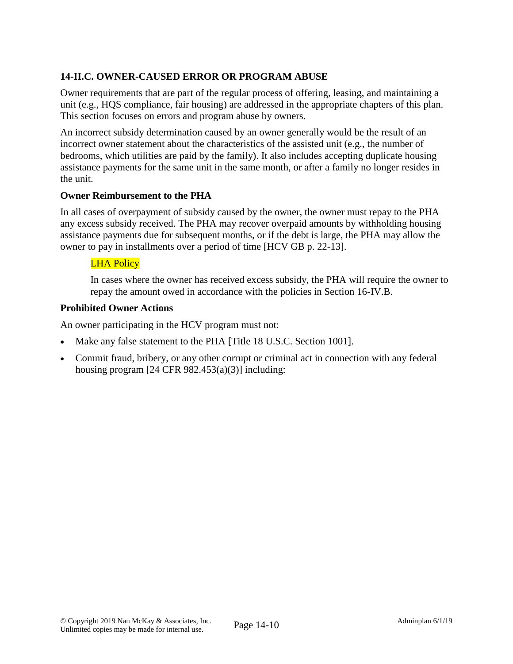# **14-II.C. OWNER-CAUSED ERROR OR PROGRAM ABUSE**

Owner requirements that are part of the regular process of offering, leasing, and maintaining a unit (e.g., HQS compliance, fair housing) are addressed in the appropriate chapters of this plan. This section focuses on errors and program abuse by owners.

An incorrect subsidy determination caused by an owner generally would be the result of an incorrect owner statement about the characteristics of the assisted unit (e.g., the number of bedrooms, which utilities are paid by the family). It also includes accepting duplicate housing assistance payments for the same unit in the same month, or after a family no longer resides in the unit.

### **Owner Reimbursement to the PHA**

In all cases of overpayment of subsidy caused by the owner, the owner must repay to the PHA any excess subsidy received. The PHA may recover overpaid amounts by withholding housing assistance payments due for subsequent months, or if the debt is large, the PHA may allow the owner to pay in installments over a period of time [HCV GB p. 22-13].

# LHA Policy

In cases where the owner has received excess subsidy, the PHA will require the owner to repay the amount owed in accordance with the policies in Section 16-IV.B.

# **Prohibited Owner Actions**

An owner participating in the HCV program must not:

- Make any false statement to the PHA [Title 18 U.S.C. Section 1001].
- Commit fraud, bribery, or any other corrupt or criminal act in connection with any federal housing program  $[24 \text{ CFR } 982.453(a)(3)]$  including: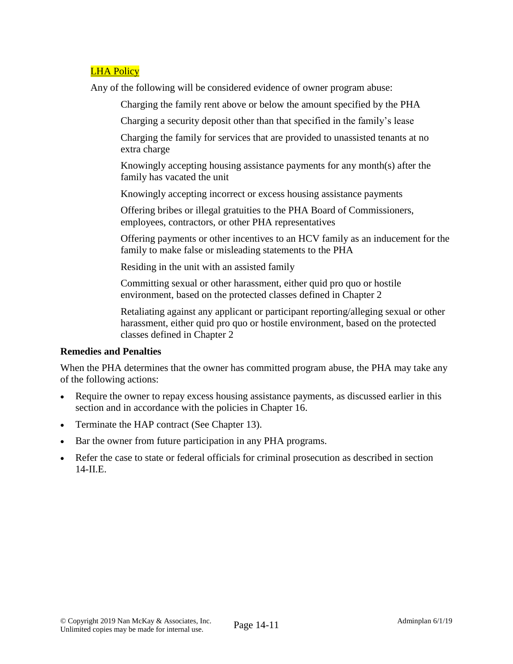### LHA Policy

Any of the following will be considered evidence of owner program abuse:

Charging the family rent above or below the amount specified by the PHA

Charging a security deposit other than that specified in the family's lease

Charging the family for services that are provided to unassisted tenants at no extra charge

Knowingly accepting housing assistance payments for any month(s) after the family has vacated the unit

Knowingly accepting incorrect or excess housing assistance payments

Offering bribes or illegal gratuities to the PHA Board of Commissioners, employees, contractors, or other PHA representatives

Offering payments or other incentives to an HCV family as an inducement for the family to make false or misleading statements to the PHA

Residing in the unit with an assisted family

Committing sexual or other harassment, either quid pro quo or hostile environment, based on the protected classes defined in Chapter 2

Retaliating against any applicant or participant reporting/alleging sexual or other harassment, either quid pro quo or hostile environment, based on the protected classes defined in Chapter 2

#### **Remedies and Penalties**

When the PHA determines that the owner has committed program abuse, the PHA may take any of the following actions:

- Require the owner to repay excess housing assistance payments, as discussed earlier in this section and in accordance with the policies in Chapter 16.
- Terminate the HAP contract (See Chapter 13).
- Bar the owner from future participation in any PHA programs.
- Refer the case to state or federal officials for criminal prosecution as described in section 14-II.E.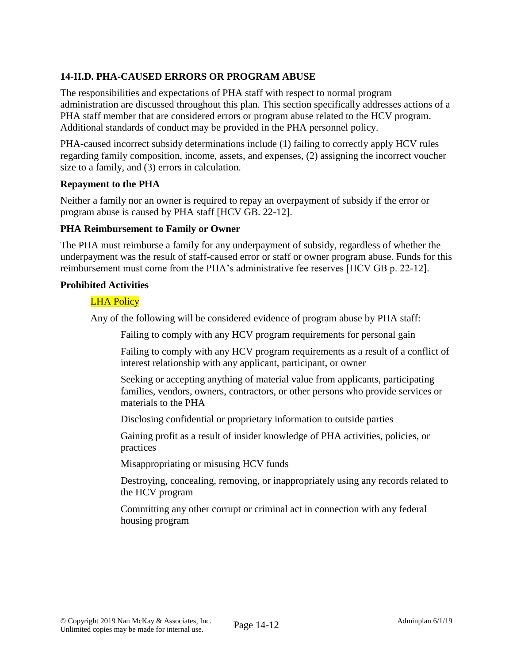# **14-II.D. PHA-CAUSED ERRORS OR PROGRAM ABUSE**

The responsibilities and expectations of PHA staff with respect to normal program administration are discussed throughout this plan. This section specifically addresses actions of a PHA staff member that are considered errors or program abuse related to the HCV program. Additional standards of conduct may be provided in the PHA personnel policy.

PHA-caused incorrect subsidy determinations include (1) failing to correctly apply HCV rules regarding family composition, income, assets, and expenses, (2) assigning the incorrect voucher size to a family, and (3) errors in calculation.

#### **Repayment to the PHA**

Neither a family nor an owner is required to repay an overpayment of subsidy if the error or program abuse is caused by PHA staff [HCV GB. 22-12].

### **PHA Reimbursement to Family or Owner**

The PHA must reimburse a family for any underpayment of subsidy, regardless of whether the underpayment was the result of staff-caused error or staff or owner program abuse. Funds for this reimbursement must come from the PHA's administrative fee reserves [HCV GB p. 22-12].

### **Prohibited Activities**

# LHA Policy

Any of the following will be considered evidence of program abuse by PHA staff:

Failing to comply with any HCV program requirements for personal gain

Failing to comply with any HCV program requirements as a result of a conflict of interest relationship with any applicant, participant, or owner

Seeking or accepting anything of material value from applicants, participating families, vendors, owners, contractors, or other persons who provide services or materials to the PHA

Disclosing confidential or proprietary information to outside parties

Gaining profit as a result of insider knowledge of PHA activities, policies, or practices

Misappropriating or misusing HCV funds

Destroying, concealing, removing, or inappropriately using any records related to the HCV program

Committing any other corrupt or criminal act in connection with any federal housing program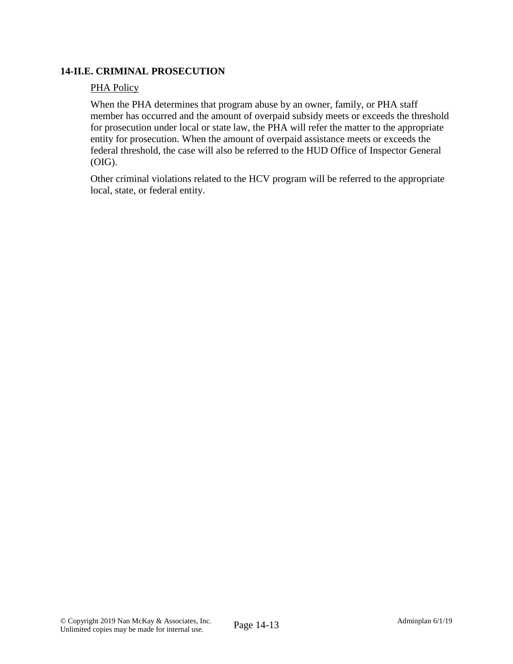## **14-II.E. CRIMINAL PROSECUTION**

### PHA Policy

When the PHA determines that program abuse by an owner, family, or PHA staff member has occurred and the amount of overpaid subsidy meets or exceeds the threshold for prosecution under local or state law, the PHA will refer the matter to the appropriate entity for prosecution. When the amount of overpaid assistance meets or exceeds the federal threshold, the case will also be referred to the HUD Office of Inspector General (OIG).

Other criminal violations related to the HCV program will be referred to the appropriate local, state, or federal entity.